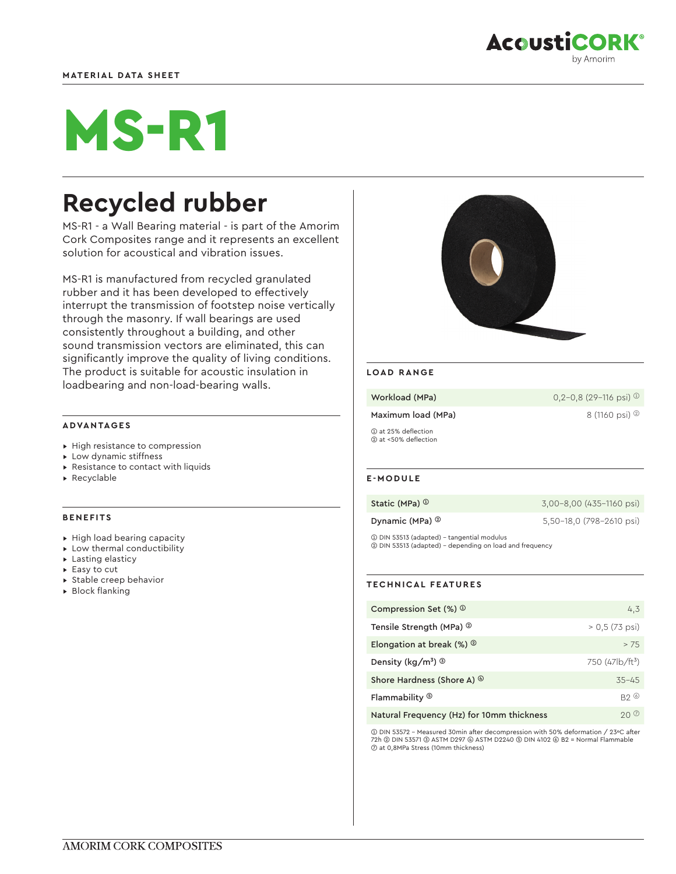

# MS-R1

# **Recycled rubber**

MS-R1 - a Wall Bearing material - is part of the Amorim Cork Composites range and it represents an excellent solution for acoustical and vibration issues.

MS-R1 is manufactured from recycled granulated rubber and it has been developed to effectively interrupt the transmission of footstep noise vertically through the masonry. If wall bearings are used consistently throughout a building, and other sound transmission vectors are eliminated, this can significantly improve the quality of living conditions. The product is suitable for acoustic insulation in loadbearing and non-load-bearing walls.

# **ADVANTAGES**

- ▸ High resistance to compression
- ▸ Low dynamic stiffness
- ▸ Resistance to contact with liquids
- ▸ Recyclable

#### **BENEFITS**

- ▸ High load bearing capacity
- ▸ Low thermal conductibility
- ▸ Lasting elasticy
- ▸ Easy to cut
- ▸ Stable creep behavior
- ▸ Block flanking



#### **LOAD RANGE**

| Workload (MPa)                              | $0.2 - 0.8$ (29-116 psi) $\Phi$ |
|---------------------------------------------|---------------------------------|
| Maximum load (MPa)                          | 8 (1160 psi) $\circledcirc$     |
| 1 at 25% deflection<br>2 at <50% deflection |                                 |

# **E-MODULE**

| Static (MPa) $^\text{\textregistered}$ | 3,00-8,00 (435-1160 psi) |
|----------------------------------------|--------------------------|
| Dynamic (MPa) <sup>②</sup>             | 5,50-18,0 (798-2610 psi) |

➀ DIN 53513 (adapted) - tangential modulus ➁ DIN 53513 (adapted) - depending on load and frequency

# **TECHNICAL FEATURES**

| Compression Set $(\%)$ $\circ$              | 4,3                     |
|---------------------------------------------|-------------------------|
| Tensile Strength (MPa) <sup>2</sup>         | $> 0.5(73 \text{ psi})$ |
| Elongation at break $(\%)$ $^{\circledR}$   | >75                     |
| Density (kg/m <sup>3</sup> ) $\circledcirc$ | 750 $(47/b/ft^3)$       |
| Shore Hardness (Shore A) $\circledcirc$     | $35 - 45$               |
| Flammability ®                              | $B2 \circ$              |
| Natural Frequency (Hz) for 10mm thickness   |                         |

➀ DIN 53572 - Measured 30min after decompression with 50% deformation / 23ºC after 72h ➁ DIN 53571 ➂ ASTM D297 ➃ ASTM D2240 ➄ DIN 4102 ➅ B2 = Normal Flammable ➆ at 0,8MPa Stress (10mm thickness)